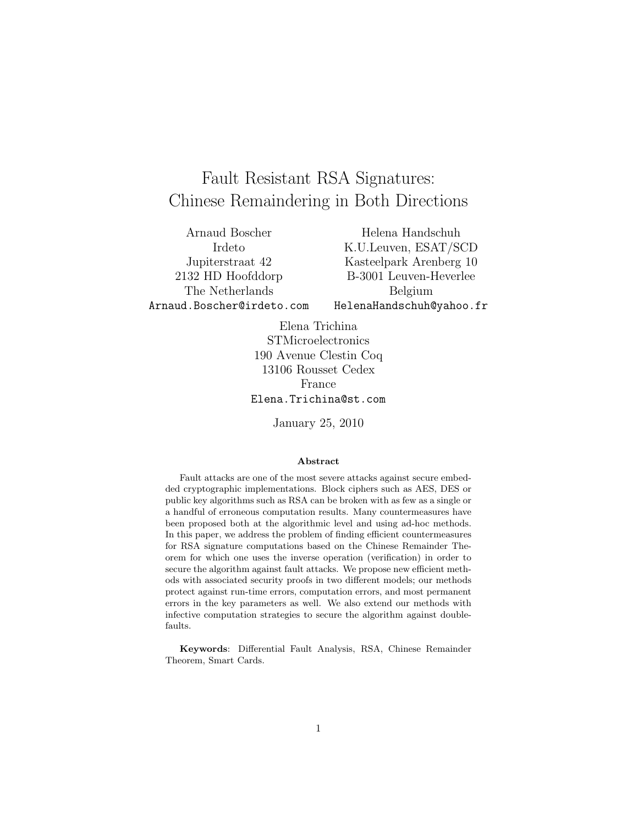# Fault Resistant RSA Signatures: Chinese Remaindering in Both Directions

Arnaud Boscher Irdeto Jupiterstraat 42 2132 HD Hoofddorp The Netherlands Arnaud.Boscher@irdeto.com

Helena Handschuh K.U.Leuven, ESAT/SCD Kasteelpark Arenberg 10 B-3001 Leuven-Heverlee Belgium HelenaHandschuh@yahoo.fr

Elena Trichina STMicroelectronics 190 Avenue Clestin Coq 13106 Rousset Cedex France Elena.Trichina@st.com

January 25, 2010

#### Abstract

Fault attacks are one of the most severe attacks against secure embedded cryptographic implementations. Block ciphers such as AES, DES or public key algorithms such as RSA can be broken with as few as a single or a handful of erroneous computation results. Many countermeasures have been proposed both at the algorithmic level and using ad-hoc methods. In this paper, we address the problem of finding efficient countermeasures for RSA signature computations based on the Chinese Remainder Theorem for which one uses the inverse operation (verification) in order to secure the algorithm against fault attacks. We propose new efficient methods with associated security proofs in two different models; our methods protect against run-time errors, computation errors, and most permanent errors in the key parameters as well. We also extend our methods with infective computation strategies to secure the algorithm against doublefaults.

Keywords: Differential Fault Analysis, RSA, Chinese Remainder Theorem, Smart Cards.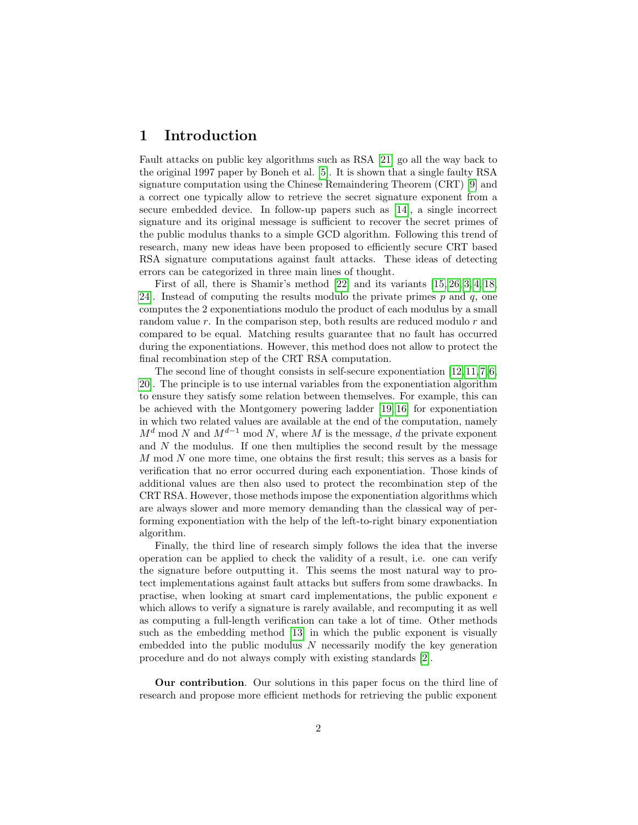# 1 Introduction

Fault attacks on public key algorithms such as RSA [\[21\]](#page-13-0) go all the way back to the original 1997 paper by Boneh et al. [\[5\]](#page-12-0). It is shown that a single faulty RSA signature computation using the Chinese Remaindering Theorem (CRT) [\[9\]](#page-12-1) and a correct one typically allow to retrieve the secret signature exponent from a secure embedded device. In follow-up papers such as [\[14\]](#page-13-1), a single incorrect signature and its original message is sufficient to recover the secret primes of the public modulus thanks to a simple GCD algorithm. Following this trend of research, many new ideas have been proposed to efficiently secure CRT based RSA signature computations against fault attacks. These ideas of detecting errors can be categorized in three main lines of thought.

First of all, there is Shamir's method [\[22\]](#page-13-2) and its variants [\[15,](#page-13-3) [26,](#page-14-0) [3,](#page-12-2) [4,](#page-12-3) [18,](#page-13-4) 24. Instead of computing the results modulo the private primes  $p$  and  $q$ , one computes the 2 exponentiations modulo the product of each modulus by a small random value r. In the comparison step, both results are reduced modulo r and compared to be equal. Matching results guarantee that no fault has occurred during the exponentiations. However, this method does not allow to protect the final recombination step of the CRT RSA computation.

The second line of thought consists in self-secure exponentiation  $[12, 11, 7, 6,$  $[12, 11, 7, 6,$  $[12, 11, 7, 6,$  $[12, 11, 7, 6,$ [20\]](#page-13-6). The principle is to use internal variables from the exponentiation algorithm to ensure they satisfy some relation between themselves. For example, this can be achieved with the Montgomery powering ladder [\[19,](#page-13-7) [16\]](#page-13-8) for exponentiation in which two related values are available at the end of the computation, namely  $M^d$  mod N and  $M^{d-1}$  mod N, where M is the message, d the private exponent and  $N$  the modulus. If one then multiplies the second result by the message M mod N one more time, one obtains the first result; this serves as a basis for verification that no error occurred during each exponentiation. Those kinds of additional values are then also used to protect the recombination step of the CRT RSA. However, those methods impose the exponentiation algorithms which are always slower and more memory demanding than the classical way of performing exponentiation with the help of the left-to-right binary exponentiation algorithm.

Finally, the third line of research simply follows the idea that the inverse operation can be applied to check the validity of a result, i.e. one can verify the signature before outputting it. This seems the most natural way to protect implementations against fault attacks but suffers from some drawbacks. In practise, when looking at smart card implementations, the public exponent e which allows to verify a signature is rarely available, and recomputing it as well as computing a full-length verification can take a lot of time. Other methods such as the embedding method [\[13\]](#page-13-9) in which the public exponent is visually embedded into the public modulus  $N$  necessarily modify the key generation procedure and do not always comply with existing standards [\[2\]](#page-12-7).

Our contribution. Our solutions in this paper focus on the third line of research and propose more efficient methods for retrieving the public exponent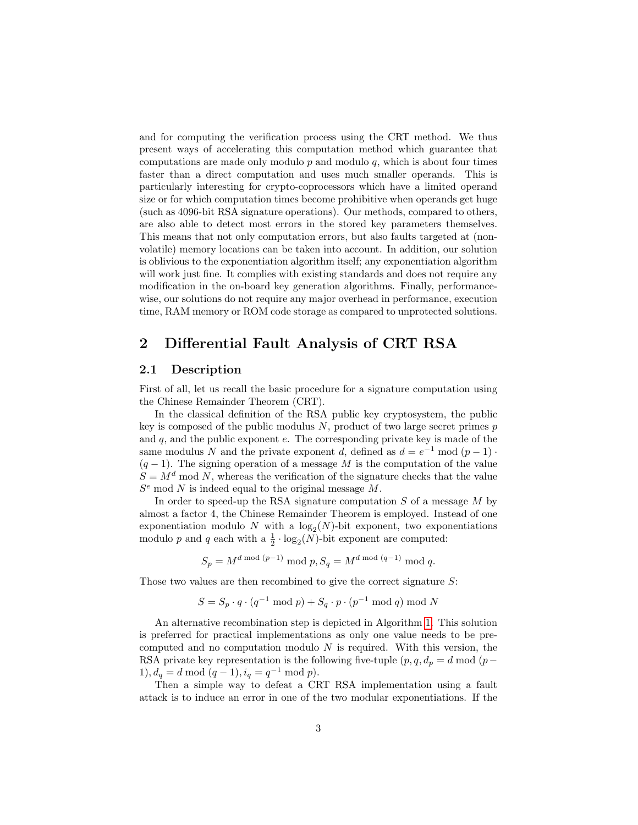and for computing the verification process using the CRT method. We thus present ways of accelerating this computation method which guarantee that computations are made only modulo  $p$  and modulo  $q$ , which is about four times faster than a direct computation and uses much smaller operands. This is particularly interesting for crypto-coprocessors which have a limited operand size or for which computation times become prohibitive when operands get huge (such as 4096-bit RSA signature operations). Our methods, compared to others, are also able to detect most errors in the stored key parameters themselves. This means that not only computation errors, but also faults targeted at (nonvolatile) memory locations can be taken into account. In addition, our solution is oblivious to the exponentiation algorithm itself; any exponentiation algorithm will work just fine. It complies with existing standards and does not require any modification in the on-board key generation algorithms. Finally, performancewise, our solutions do not require any major overhead in performance, execution time, RAM memory or ROM code storage as compared to unprotected solutions.

# 2 Differential Fault Analysis of CRT RSA

#### 2.1 Description

First of all, let us recall the basic procedure for a signature computation using the Chinese Remainder Theorem (CRT).

In the classical definition of the RSA public key cryptosystem, the public key is composed of the public modulus  $N$ , product of two large secret primes  $p$ and  $q$ , and the public exponent  $e$ . The corresponding private key is made of the same modulus N and the private exponent d, defined as  $d = e^{-1} \mod (p-1)$ .  $(q-1)$ . The signing operation of a message M is the computation of the value  $S = M<sup>d</sup>$  mod N, whereas the verification of the signature checks that the value  $S<sup>e</sup>$  mod N is indeed equal to the original message M.

In order to speed-up the RSA signature computation  $S$  of a message  $M$  by almost a factor 4, the Chinese Remainder Theorem is employed. Instead of one exponentiation modulo N with a  $log_2(N)$ -bit exponent, two exponentiations modulo p and q each with a  $\frac{1}{2} \cdot \log_2(N)$ -bit exponent are computed:

$$
S_p = M^{d \bmod (p-1)} \bmod p
$$
,  $S_q = M^{d \bmod (q-1)} \bmod q$ .

Those two values are then recombined to give the correct signature S:

$$
S = S_p \cdot q \cdot (q^{-1} \bmod p) + S_q \cdot p \cdot (p^{-1} \bmod q) \bmod N
$$

An alternative recombination step is depicted in Algorithm [1.](#page-3-0) This solution is preferred for practical implementations as only one value needs to be precomputed and no computation modulo  $N$  is required. With this version, the RSA private key representation is the following five-tuple  $(p, q, d_p = d \mod (p -$ 1),  $d_q = d \mod (q-1), i_q = q^{-1} \mod p$ .

Then a simple way to defeat a CRT RSA implementation using a fault attack is to induce an error in one of the two modular exponentiations. If the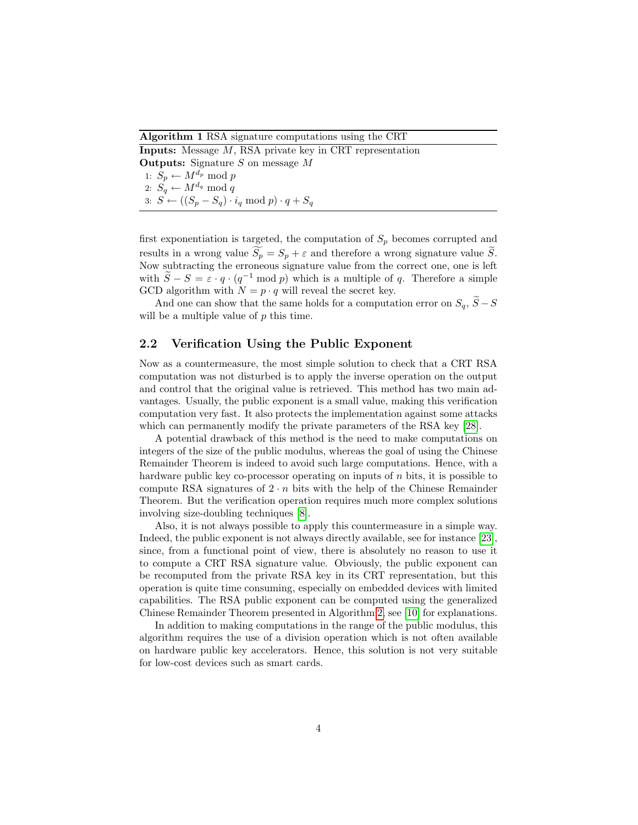Algorithm 1 RSA signature computations using the CRT

<span id="page-3-0"></span>Inputs: Message M, RSA private key in CRT representation **Outputs:** Signature  $S$  on message  $M$ 1:  $S_p \leftarrow M^{d_p} \mod p$ 2:  $S_q \leftarrow M^{d_q} \mod q$ 3:  $S \leftarrow ((S_p - S_q) \cdot i_q \mod p) \cdot q + S_q$ 

first exponentiation is targeted, the computation of  $S_p$  becomes corrupted and results in a wrong value  $S_p = S_p + \varepsilon$  and therefore a wrong signature value  $\tilde{S}_p$ . Now subtracting the erroneous signature value from the correct one, one is left with  $\widetilde{S} - S = \varepsilon \cdot q \cdot (q^{-1} \mod p)$  which is a multiple of q. Therefore a simple GCD algorithm with  $N = p \cdot q$  will reveal the secret key.

And one can show that the same holds for a computation error on  $S_q$ ,  $\widetilde{S}-S$ will be a multiple value of p this time.

## 2.2 Verification Using the Public Exponent

Now as a countermeasure, the most simple solution to check that a CRT RSA computation was not disturbed is to apply the inverse operation on the output and control that the original value is retrieved. This method has two main advantages. Usually, the public exponent is a small value, making this verification computation very fast. It also protects the implementation against some attacks which can permanently modify the private parameters of the RSA key [\[28\]](#page-14-2).

A potential drawback of this method is the need to make computations on integers of the size of the public modulus, whereas the goal of using the Chinese Remainder Theorem is indeed to avoid such large computations. Hence, with a hardware public key co-processor operating on inputs of n bits, it is possible to compute RSA signatures of  $2 \cdot n$  bits with the help of the Chinese Remainder Theorem. But the verification operation requires much more complex solutions involving size-doubling techniques [\[8\]](#page-12-8).

Also, it is not always possible to apply this countermeasure in a simple way. Indeed, the public exponent is not always directly available, see for instance [\[23\]](#page-14-3), since, from a functional point of view, there is absolutely no reason to use it to compute a CRT RSA signature value. Obviously, the public exponent can be recomputed from the private RSA key in its CRT representation, but this operation is quite time consuming, especially on embedded devices with limited capabilities. The RSA public exponent can be computed using the generalized Chinese Remainder Theorem presented in Algorithm [2,](#page-4-0) see [\[10\]](#page-12-9) for explanations.

In addition to making computations in the range of the public modulus, this algorithm requires the use of a division operation which is not often available on hardware public key accelerators. Hence, this solution is not very suitable for low-cost devices such as smart cards.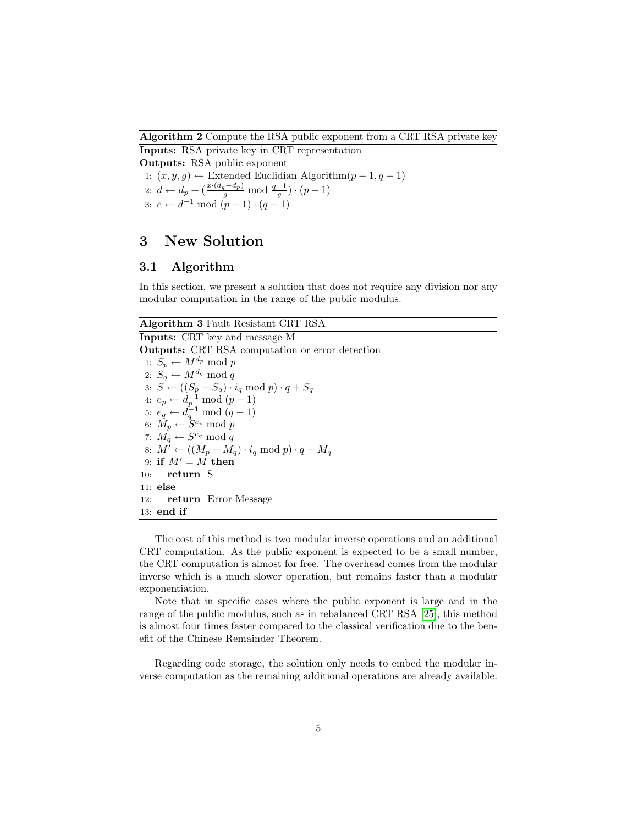Algorithm 2 Compute the RSA public exponent from a CRT RSA private key

<span id="page-4-0"></span>Inputs: RSA private key in CRT representation Outputs: RSA public exponent 1:  $(x, y, g)$  ← Extended Euclidian Algorithm $(p-1, q-1)$ 2:  $d \leftarrow d_p + (\frac{x \cdot (d_q - d_p)}{g} \mod \frac{q-1}{g}) \cdot (p-1)$ 3:  $e \leftarrow d^{-1} \mod (p-1) \cdot (q-1)$ 

# 3 New Solution

### 3.1 Algorithm

In this section, we present a solution that does not require any division nor any modular computation in the range of the public modulus.

## Algorithm 3 Fault Resistant CRT RSA

Inputs: CRT key and message M Outputs: CRT RSA computation or error detection 1:  $S_p \leftarrow M^{d_p} \text{ mod } p$ 2:  $S_q \leftarrow M^{d_q} \mod q$ 3:  $S \leftarrow ((S_p - S_q) \cdot i_q \mod p) \cdot q + S_q$ 4:  $e_p \leftarrow d_p^{-1} \bmod (p-1)$ 5:  $e_q \leftarrow d_q^{-1} \mod (q-1)$ 6:  $M_p \leftarrow \dot{S}^{e_p} \bmod p$ 7:  $M_q \leftarrow S^{e_q} \mod q$ 8:  $M^{\overline{\prime}} \leftarrow ((M_p - M_q) \cdot i_q \mod p) \cdot q + M_q$ 9: if  $M' = M$  then 10: return S 11: else 12: return Error Message 13: end if

The cost of this method is two modular inverse operations and an additional CRT computation. As the public exponent is expected to be a small number, the CRT computation is almost for free. The overhead comes from the modular inverse which is a much slower operation, but remains faster than a modular exponentiation.

Note that in specific cases where the public exponent is large and in the range of the public modulus, such as in rebalanced CRT RSA [\[25\]](#page-14-4), this method is almost four times faster compared to the classical verification due to the benefit of the Chinese Remainder Theorem.

Regarding code storage, the solution only needs to embed the modular inverse computation as the remaining additional operations are already available.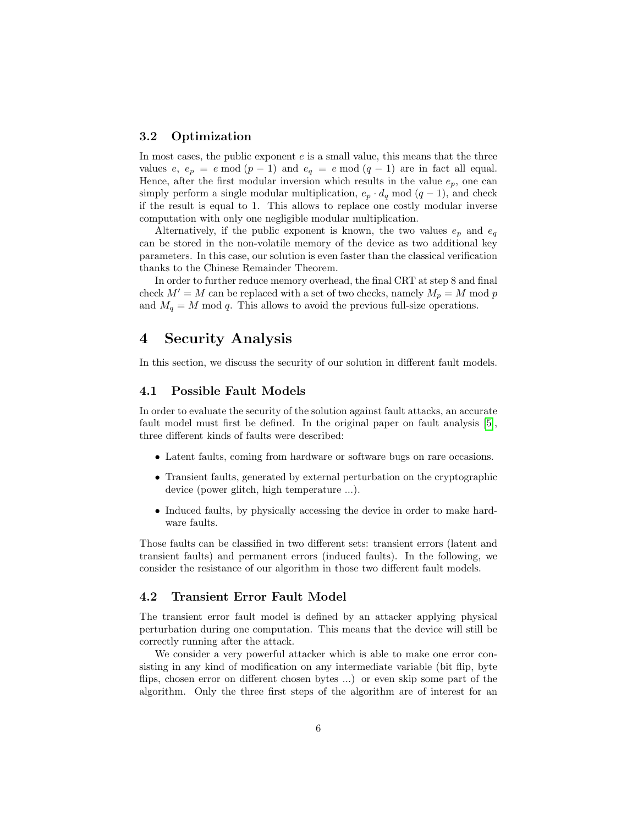## 3.2 Optimization

In most cases, the public exponent e is a small value, this means that the three values e,  $e_p = e \mod (p-1)$  and  $e_q = e \mod (q-1)$  are in fact all equal. Hence, after the first modular inversion which results in the value  $e_p$ , one can simply perform a single modular multiplication,  $e_p \cdot d_q \mod (q-1)$ , and check if the result is equal to 1. This allows to replace one costly modular inverse computation with only one negligible modular multiplication.

Alternatively, if the public exponent is known, the two values  $e_p$  and  $e_q$ can be stored in the non-volatile memory of the device as two additional key parameters. In this case, our solution is even faster than the classical verification thanks to the Chinese Remainder Theorem.

In order to further reduce memory overhead, the final CRT at step 8 and final check  $M' = M$  can be replaced with a set of two checks, namely  $M_p = M$  mod p and  $M_q = M \text{ mod } q$ . This allows to avoid the previous full-size operations.

## 4 Security Analysis

In this section, we discuss the security of our solution in different fault models.

#### 4.1 Possible Fault Models

In order to evaluate the security of the solution against fault attacks, an accurate fault model must first be defined. In the original paper on fault analysis [\[5\]](#page-12-0), three different kinds of faults were described:

- Latent faults, coming from hardware or software bugs on rare occasions.
- Transient faults, generated by external perturbation on the cryptographic device (power glitch, high temperature ...).
- Induced faults, by physically accessing the device in order to make hardware faults.

Those faults can be classified in two different sets: transient errors (latent and transient faults) and permanent errors (induced faults). In the following, we consider the resistance of our algorithm in those two different fault models.

#### 4.2 Transient Error Fault Model

The transient error fault model is defined by an attacker applying physical perturbation during one computation. This means that the device will still be correctly running after the attack.

We consider a very powerful attacker which is able to make one error consisting in any kind of modification on any intermediate variable (bit flip, byte flips, chosen error on different chosen bytes ...) or even skip some part of the algorithm. Only the three first steps of the algorithm are of interest for an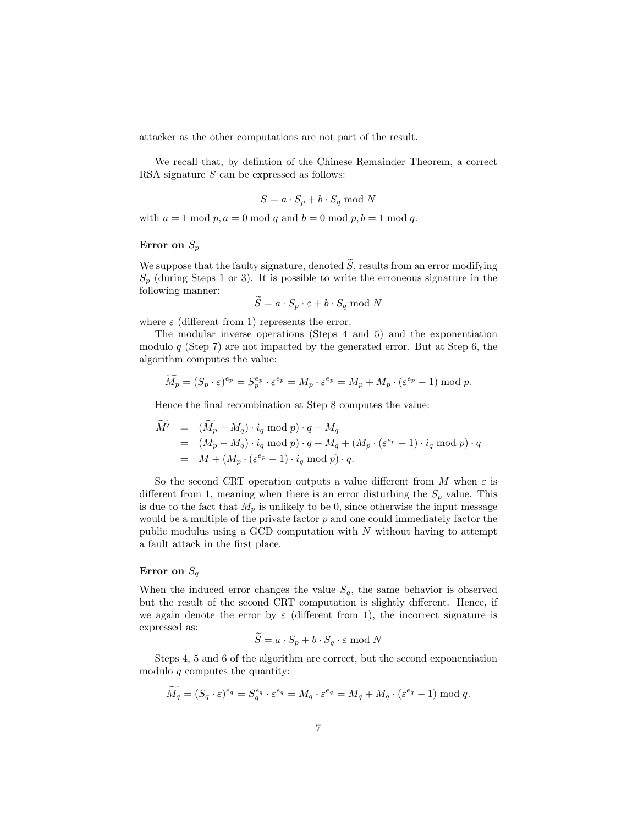attacker as the other computations are not part of the result.

We recall that, by defintion of the Chinese Remainder Theorem, a correct RSA signature  $S$  can be expressed as follows:

$$
S = a \cdot S_p + b \cdot S_q \mod N
$$

with  $a = 1 \mod p$ ,  $a = 0 \mod q$  and  $b = 0 \mod p$ ,  $b = 1 \mod q$ .

### Error on  $S_p$

We suppose that the faulty signature, denoted  $\widetilde{S}$ , results from an error modifying  $S_p$  (during Steps 1 or 3). It is possible to write the erroneous signature in the following manner:

$$
\widetilde{S} = a \cdot S_p \cdot \varepsilon + b \cdot S_q \bmod N
$$

where  $\varepsilon$  (different from 1) represents the error.

The modular inverse operations (Steps 4 and 5) and the exponentiation modulo  $q$  (Step 7) are not impacted by the generated error. But at Step 6, the algorithm computes the value:

$$
\widetilde{M}_p = (S_p \cdot \varepsilon)^{e_p} = S_p^{e_p} \cdot \varepsilon^{e_p} = M_p \cdot \varepsilon^{e_p} = M_p + M_p \cdot (\varepsilon^{e_p} - 1) \bmod p.
$$

Hence the final recombination at Step 8 computes the value:

$$
\begin{array}{rcl}\n\tilde{M'} & = & (\tilde{M}_p - M_q) \cdot i_q \mod p) \cdot q + M_q \\
& = & (M_p - M_q) \cdot i_q \mod p) \cdot q + M_q + (M_p \cdot (\varepsilon^{e_p} - 1) \cdot i_q \mod p) \cdot q \\
& = & M + (M_p \cdot (\varepsilon^{e_p} - 1) \cdot i_q \mod p) \cdot q.\n\end{array}
$$

So the second CRT operation outputs a value different from M when  $\varepsilon$  is different from 1, meaning when there is an error disturbing the  $S_p$  value. This is due to the fact that  $M_p$  is unlikely to be 0, since otherwise the input message would be a multiple of the private factor  $p$  and one could immediately factor the public modulus using a GCD computation with  $N$  without having to attempt a fault attack in the first place.

#### Error on  $S_q$

 $\sim$  .

 $\sim$   $\sim$ 

When the induced error changes the value  $S_q$ , the same behavior is observed but the result of the second CRT computation is slightly different. Hence, if we again denote the error by  $\varepsilon$  (different from 1), the incorrect signature is expressed as:  $\sim$ 

$$
\widetilde{S} = a \cdot S_p + b \cdot S_q \cdot \varepsilon \bmod N
$$

Steps 4, 5 and 6 of the algorithm are correct, but the second exponentiation modulo  $q$  computes the quantity:

$$
\widetilde{M}_q = (S_q \cdot \varepsilon)^{e_q} = S_q^{e_q} \cdot \varepsilon^{e_q} = M_q \cdot \varepsilon^{e_q} = M_q + M_q \cdot (\varepsilon^{e_q} - 1) \bmod q.
$$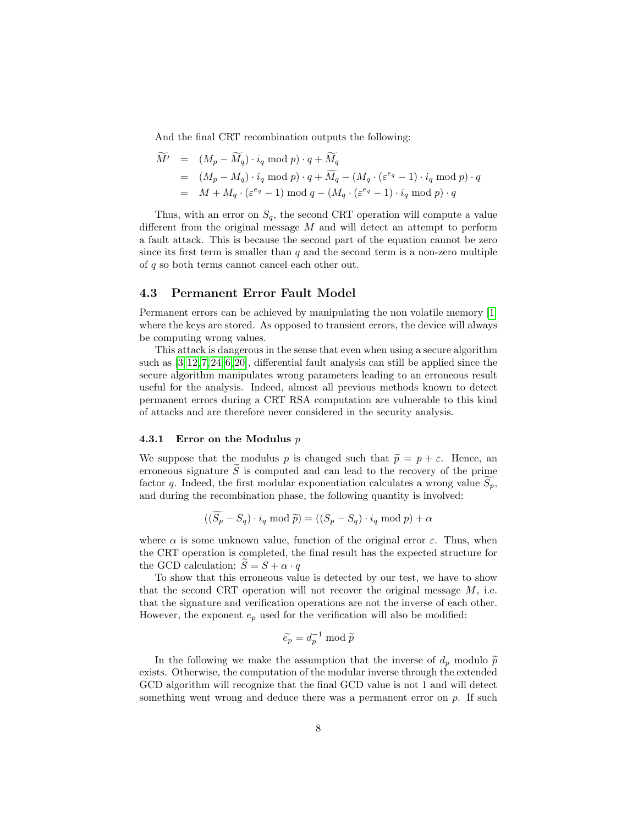And the final CRT recombination outputs the following:

$$
\widetilde{M}' = (M_p - \widetilde{M}_q) \cdot i_q \mod p) \cdot q + \widetilde{M}_q
$$
\n
$$
= (M_p - M_q) \cdot i_q \mod p) \cdot q + \widetilde{M}_q - (M_q \cdot (\varepsilon^{e_q} - 1) \cdot i_q \mod p) \cdot q
$$
\n
$$
= M + M_q \cdot (\varepsilon^{e_q} - 1) \mod q - (M_q \cdot (\varepsilon^{e_q} - 1) \cdot i_q \mod p) \cdot q
$$

Thus, with an error on  $S_q$ , the second CRT operation will compute a value different from the original message  $M$  and will detect an attempt to perform a fault attack. This is because the second part of the equation cannot be zero since its first term is smaller than  $q$  and the second term is a non-zero multiple of q so both terms cannot cancel each other out.

#### 4.3 Permanent Error Fault Model

Permanent errors can be achieved by manipulating the non volatile memory [\[1\]](#page-11-0) where the keys are stored. As opposed to transient errors, the device will always be computing wrong values.

This attack is dangerous in the sense that even when using a secure algorithm such as [\[3,](#page-12-2) [12,](#page-13-5) [7,](#page-12-5) [24,](#page-14-1) [6,](#page-12-6) [20\]](#page-13-6), differential fault analysis can still be applied since the secure algorithm manipulates wrong parameters leading to an erroneous result useful for the analysis. Indeed, almost all previous methods known to detect permanent errors during a CRT RSA computation are vulnerable to this kind of attacks and are therefore never considered in the security analysis.

#### 4.3.1 Error on the Modulus p

We suppose that the modulus p is changed such that  $\tilde{p} = p + \varepsilon$ . Hence, an erroneous signature  $\widetilde{S}$  is computed and can lead to the recovery of the prime factor q. Indeed, the first modular exponentiation calculates a wrong value  $S_p$ , and during the recombination phase, the following quantity is involved:

$$
((\widetilde{S}_p - S_q) \cdot i_q \mod \widetilde{p}) = ((S_p - S_q) \cdot i_q \mod p) + \alpha
$$

where  $\alpha$  is some unknown value, function of the original error  $\varepsilon$ . Thus, when the CRT operation is completed, the final result has the expected structure for the GCD calculation:  $\widetilde{S} = S + \alpha \cdot q$ 

To show that this erroneous value is detected by our test, we have to show that the second CRT operation will not recover the original message  $M$ , i.e. that the signature and verification operations are not the inverse of each other. However, the exponent  $e_p$  used for the verification will also be modified:

$$
\widetilde{e_p} = d_p^{-1} \bmod \widetilde{p}
$$

In the following we make the assumption that the inverse of  $d_p$  modulo  $\tilde{p}$ exists. Otherwise, the computation of the modular inverse through the extended GCD algorithm will recognize that the final GCD value is not 1 and will detect something went wrong and deduce there was a permanent error on  $p$ . If such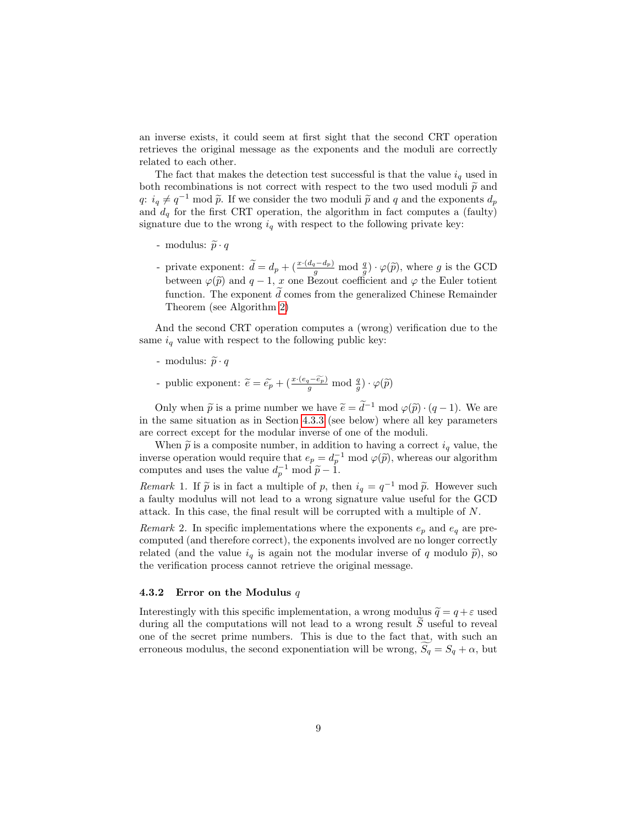an inverse exists, it could seem at first sight that the second CRT operation retrieves the original message as the exponents and the moduli are correctly related to each other.

The fact that makes the detection test successful is that the value  $i_q$  used in both recombinations is not correct with respect to the two used moduli  $\tilde{p}$  and  $q: i_q \neq q^{-1} \mod \tilde{p}$ . If we consider the two moduli  $\tilde{p}$  and q and the exponents  $d_p$ and  $d_q$  for the first CRT operation, the algorithm in fact computes a (faulty) signature due to the wrong  $i_q$  with respect to the following private key:

- modulus:  $\widetilde{p} \cdot q$
- private exponent:  $\widetilde{d} = d_p + (\frac{x \cdot (d_q d_p)}{g} \mod \frac{q}{g}) \cdot \varphi(\widetilde{p}),$  where g is the GCD between  $\varphi(\tilde{p})$  and  $q-1$ , x one Bezout coefficient and  $\varphi$  the Euler totient function. The exponent  $d$  comes from the generalized Chinese Remainder Theorem (see Algorithm [2\)](#page-4-0)

And the second CRT operation computes a (wrong) verification due to the same  $i_q$  value with respect to the following public key:

- modulus:  $\widetilde{p} \cdot q$
- public exponent:  $\widetilde{e} = \widetilde{e_p} + (\frac{x \cdot (e_q \widetilde{e_p})}{g} \mod \frac{q}{g}) \cdot \varphi(\widetilde{p})$

Only when  $\tilde{p}$  is a prime number we have  $\tilde{e} = \tilde{d}^{-1} \mod \varphi(\tilde{p}) \cdot (q-1)$ . We are in the same situation as in Section [4.3.3](#page-9-0) (see below) where all key parameters are correct except for the modular inverse of one of the moduli.

When  $\tilde{p}$  is a composite number, in addition to having a correct  $i_q$  value, the inverse operation would require that  $e_p = d_p^{-1} \mod \varphi(\tilde{p})$ , whereas our algorithm computes and uses the value  $d_p^{-1} \mod \tilde{p} - 1$ .

Remark 1. If  $\tilde{p}$  is in fact a multiple of p, then  $i_q = q^{-1} \mod \tilde{p}$ . However such a foulty modulus will not load to a wrong signature value useful for the CCD a faulty modulus will not lead to a wrong signature value useful for the GCD attack. In this case, the final result will be corrupted with a multiple of N.

Remark 2. In specific implementations where the exponents  $e_p$  and  $e_q$  are precomputed (and therefore correct), the exponents involved are no longer correctly related (and the value  $i_q$  is again not the modular inverse of q modulo  $\tilde{p}$ ), so the verification process cannot retrieve the original message.

#### 4.3.2 Error on the Modulus  $q$

Interestingly with this specific implementation, a wrong modulus  $\tilde{q} = q + \varepsilon$  used during all the computations will not lead to a wrong result  $\tilde{S}$  useful to reveal one of the secret prime numbers. This is due to the fact that, with such an erroneous modulus, the second exponentiation will be wrong,  $S_q = S_q + \alpha$ , but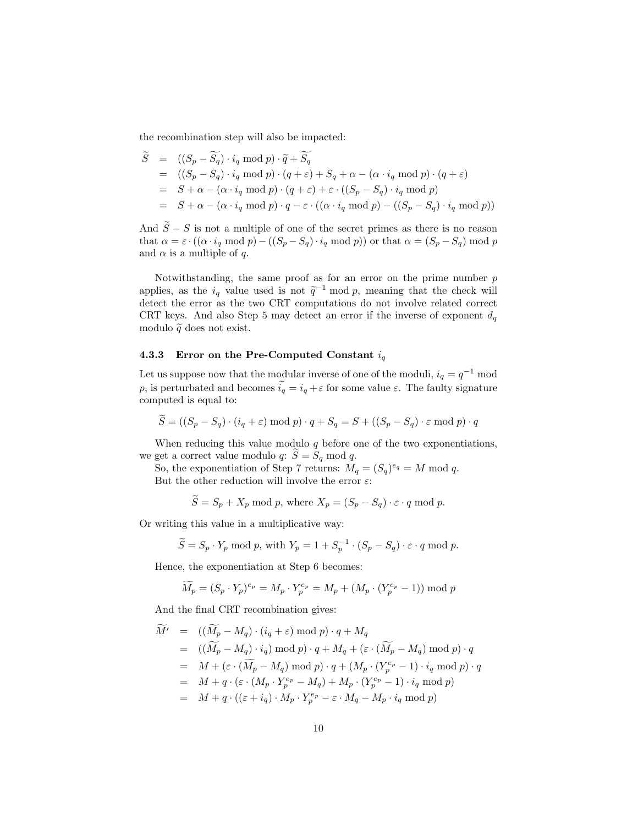the recombination step will also be impacted:

$$
\widetilde{S} = ((S_p - \widetilde{S_q}) \cdot i_q \mod p) \cdot \widetilde{q} + \widetilde{S_q}
$$
\n
$$
= ((S_p - S_q) \cdot i_q \mod p) \cdot (q + \varepsilon) + S_q + \alpha - (\alpha \cdot i_q \mod p) \cdot (q + \varepsilon)
$$
\n
$$
= S + \alpha - (\alpha \cdot i_q \mod p) \cdot (q + \varepsilon) + \varepsilon \cdot ((S_p - S_q) \cdot i_q \mod p)
$$
\n
$$
= S + \alpha - (\alpha \cdot i_q \mod p) \cdot q - \varepsilon \cdot ((\alpha \cdot i_q \mod p) - ((S_p - S_q) \cdot i_q \mod p))
$$

And  $\widetilde{S} - S$  is not a multiple of one of the secret primes as there is no reason that  $\alpha = \varepsilon \cdot ((\alpha \cdot i_q \mod p) - ((S_p - S_q) \cdot i_q \mod p))$  or that  $\alpha = (S_p - S_q) \mod p$ and  $\alpha$  is a multiple of q.

Notwithstanding, the same proof as for an error on the prime number  $p$ applies, as the  $i_q$  value used is not  $\tilde{q}^{-1}$  mod p, meaning that the check will detect the error as the two CRT computations do not involve related correct CRT keys. And also Step 5 may detect an error if the inverse of exponent  $d_q$ modulo  $\tilde{q}$  does not exist.

### <span id="page-9-0"></span>4.3.3 Error on the Pre-Computed Constant  $i_q$

Let us suppose now that the modular inverse of one of the moduli,  $i_q = q^{-1}$  mod p, is perturbated and becomes  $\tilde{i}_q = i_q + \varepsilon$  for some value  $\varepsilon$ . The faulty signature computed is equal to:

$$
\widetilde{S} = ((S_p - S_q) \cdot (i_q + \varepsilon) \bmod p) \cdot q + S_q = S + ((S_p - S_q) \cdot \varepsilon \bmod p) \cdot q
$$

When reducing this value modulo  $q$  before one of the two exponentiations, we get a correct value modulo  $q: \tilde{S} = S_q \text{ mod } q$ .

So, the exponentiation of Step 7 returns:  $M_q = (S_q)^{e_q} = M \text{ mod } q$ . But the other reduction will involve the error  $\varepsilon$ :

 $\widetilde{S} = S_p + X_p \mod p$ , where  $X_p = (S_p - S_q) \cdot \varepsilon \cdot q \mod p$ .

Or writing this value in a multiplicative way:

 $\widetilde{S} = S_p \cdot Y_p \text{ mod } p$ , with  $Y_p = 1 + S_p^{-1} \cdot (S_p - S_q) \cdot \varepsilon \cdot q \text{ mod } p$ .

Hence, the exponentiation at Step 6 becomes:

$$
\widetilde{M}_p = (S_p \cdot Y_p)^{e_p} = M_p \cdot Y_p^{e_p} = M_p + (M_p \cdot (Y_p^{e_p} - 1)) \mod p
$$

And the final CRT recombination gives:

$$
M' = ((M_p - M_q) \cdot (i_q + \varepsilon) \mod p) \cdot q + M_q
$$
  
\n
$$
= ((\widetilde{M}_p - M_q) \cdot i_q) \mod p) \cdot q + M_q + (\varepsilon \cdot (\widetilde{M}_p - M_q) \mod p) \cdot q
$$
  
\n
$$
= M + (\varepsilon \cdot (\widetilde{M}_p - M_q) \mod p) \cdot q + (M_p \cdot (Y_p^{e_p} - 1) \cdot i_q \mod p) \cdot q
$$
  
\n
$$
= M + q \cdot (\varepsilon \cdot (M_p \cdot Y_p^{e_p} - M_q) + M_p \cdot (Y_p^{e_p} - 1) \cdot i_q \mod p)
$$
  
\n
$$
= M + q \cdot ((\varepsilon + i_q) \cdot M_p \cdot Y_p^{e_p} - \varepsilon \cdot M_q - M_p \cdot i_q \mod p)
$$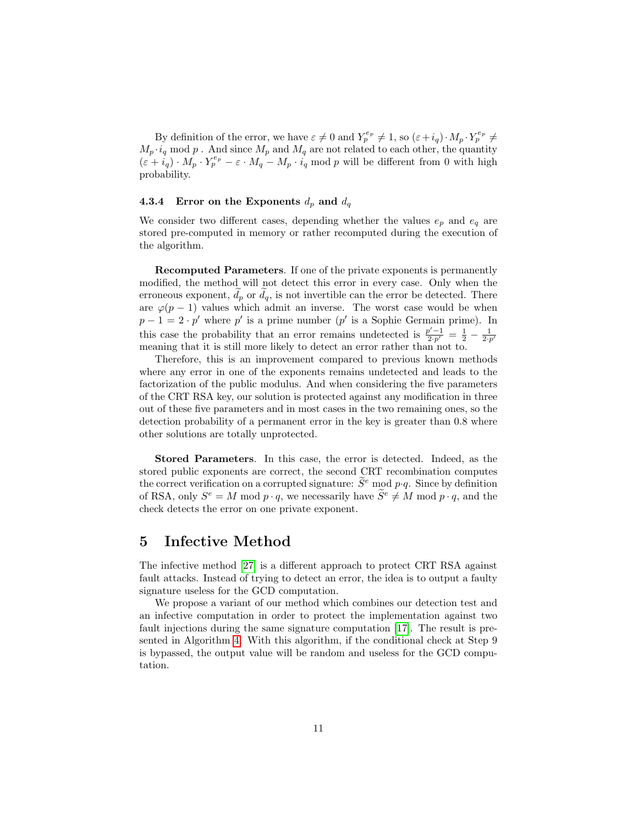By definition of the error, we have  $\varepsilon \neq 0$  and  $Y_p^{e_p} \neq 1$ , so  $(\varepsilon + i_q) \cdot M_p \cdot Y_p^{e_p} \neq 0$  $M_p \cdot i_q$  mod p. And since  $M_p$  and  $M_q$  are not related to each other, the quantity  $(\varepsilon + \overrightarrow{i}_q) \cdot M_p \cdot Y_p^{e_p} - \varepsilon \cdot M_q - M_p \cdot \overrightarrow{i}_q \text{ mod } p$  will be different from 0 with high probability.

#### 4.3.4 Error on the Exponents  $d_p$  and  $d_q$

We consider two different cases, depending whether the values  $e_p$  and  $e_q$  are stored pre-computed in memory or rather recomputed during the execution of the algorithm.

Recomputed Parameters. If one of the private exponents is permanently modified, the method will not detect this error in every case. Only when the erroneous exponent,  $d_p$  or  $d_q$ , is not invertible can the error be detected. There are  $\varphi(p-1)$  values which admit an inverse. The worst case would be when  $p-1=2\cdot p'$  where p' is a prime number (p' is a Sophie Germain prime). In this case the probability that an error remains undetected is  $\frac{p'-1}{2\cdot p'} = \frac{1}{2} - \frac{1}{2\cdot p'}$ meaning that it is still more likely to detect an error rather than not to.

Therefore, this is an improvement compared to previous known methods where any error in one of the exponents remains undetected and leads to the factorization of the public modulus. And when considering the five parameters of the CRT RSA key, our solution is protected against any modification in three out of these five parameters and in most cases in the two remaining ones, so the detection probability of a permanent error in the key is greater than 0.8 where other solutions are totally unprotected.

Stored Parameters. In this case, the error is detected. Indeed, as the stored public exponents are correct, the second CRT recombination computes the correct verification on a corrupted signature:  $\widetilde{S}^e$  mod  $p \cdot q$ . Since by definition of RSA, only  $S^e = M \mod p \cdot q$ , we necessarily have  $\widetilde{S}^e \neq M \mod p \cdot q$ , and the check detects the error on one private exponent.

## 5 Infective Method

The infective method [\[27\]](#page-14-5) is a different approach to protect CRT RSA against fault attacks. Instead of trying to detect an error, the idea is to output a faulty signature useless for the GCD computation.

We propose a variant of our method which combines our detection test and an infective computation in order to protect the implementation against two fault injections during the same signature computation [\[17\]](#page-13-10). The result is presented in Algorithm [4.](#page-11-1) With this algorithm, if the conditional check at Step 9 is bypassed, the output value will be random and useless for the GCD computation.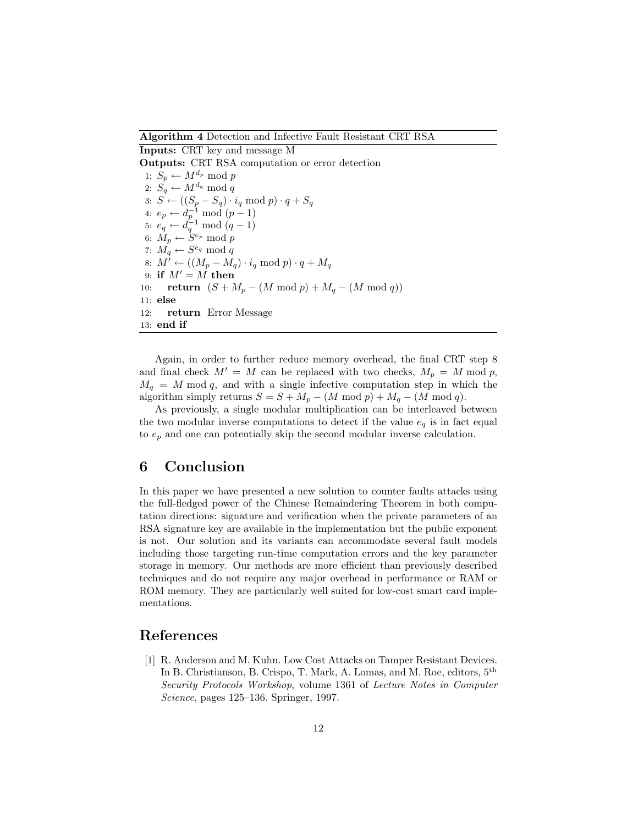Algorithm 4 Detection and Infective Fault Resistant CRT RSA

<span id="page-11-1"></span>Inputs: CRT key and message M Outputs: CRT RSA computation or error detection 1:  $S_p \leftarrow M^{d_p} \mod p$ 2:  $S_q \leftarrow M^{d_q} \mod q$ 3:  $S \leftarrow ((S_p - S_q) \cdot i_q \mod p) \cdot q + S_q$ 4:  $e_p \leftarrow d_p^{-1} \mod (p-1)$ 5:  $e_q \leftarrow d_q^{-1} \mod (q-1)$ 6:  $M_p \leftarrow \dot{S}^{e_p} \bmod p$ 7:  $M_q \leftarrow S^{e_q} \bmod q$ 8:  $M^{\prime} \leftarrow ((M_p - M_q) \cdot i_q \mod p) \cdot q + M_q$ 9: if  $M' = M$  then 10: **return**  $(S + M_p - (M \mod p) + M_q - (M \mod q))$ 11: else 12: return Error Message 13: end if

Again, in order to further reduce memory overhead, the final CRT step 8 and final check  $M' = M$  can be replaced with two checks,  $M_p = M \text{ mod } p$ ,  $M_q = M \mod q$ , and with a single infective computation step in which the algorithm simply returns  $S = S + M_p - (M \mod p) + M_q - (M \mod q)$ .

As previously, a single modular multiplication can be interleaved between the two modular inverse computations to detect if the value  $e_q$  is in fact equal to  $e_p$  and one can potentially skip the second modular inverse calculation.

## 6 Conclusion

In this paper we have presented a new solution to counter faults attacks using the full-fledged power of the Chinese Remaindering Theorem in both computation directions: signature and verification when the private parameters of an RSA signature key are available in the implementation but the public exponent is not. Our solution and its variants can accommodate several fault models including those targeting run-time computation errors and the key parameter storage in memory. Our methods are more efficient than previously described techniques and do not require any major overhead in performance or RAM or ROM memory. They are particularly well suited for low-cost smart card implementations.

## References

<span id="page-11-0"></span>[1] R. Anderson and M. Kuhn. Low Cost Attacks on Tamper Resistant Devices. In B. Christianson, B. Crispo, T. Mark, A. Lomas, and M. Roe, editors, 5th Security Protocols Workshop, volume 1361 of Lecture Notes in Computer Science, pages 125–136. Springer, 1997.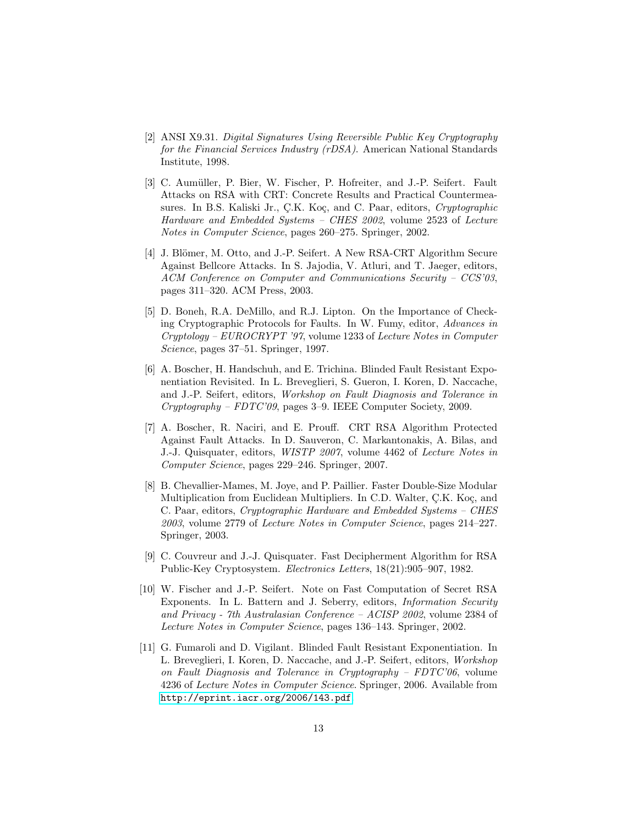- <span id="page-12-7"></span>[2] ANSI X9.31. Digital Signatures Using Reversible Public Key Cryptography for the Financial Services Industry (rDSA). American National Standards Institute, 1998.
- <span id="page-12-2"></span>[3] C. Aumüller, P. Bier, W. Fischer, P. Hofreiter, and J.-P. Seifert. Fault Attacks on RSA with CRT: Concrete Results and Practical Countermeasures. In B.S. Kaliski Jr., C.K. Koç, and C. Paar, editors, Cryptographic Hardware and Embedded Systems – CHES 2002, volume 2523 of Lecture Notes in Computer Science, pages 260–275. Springer, 2002.
- <span id="page-12-3"></span>[4] J. Blömer, M. Otto, and J.-P. Seifert. A New RSA-CRT Algorithm Secure Against Bellcore Attacks. In S. Jajodia, V. Atluri, and T. Jaeger, editors, ACM Conference on Computer and Communications Security – CCS'03, pages 311–320. ACM Press, 2003.
- <span id="page-12-0"></span>[5] D. Boneh, R.A. DeMillo, and R.J. Lipton. On the Importance of Checking Cryptographic Protocols for Faults. In W. Fumy, editor, Advances in Cryptology – EUROCRYPT '97, volume 1233 of Lecture Notes in Computer Science, pages 37–51. Springer, 1997.
- <span id="page-12-6"></span>[6] A. Boscher, H. Handschuh, and E. Trichina. Blinded Fault Resistant Exponentiation Revisited. In L. Breveglieri, S. Gueron, I. Koren, D. Naccache, and J.-P. Seifert, editors, Workshop on Fault Diagnosis and Tolerance in  $Cryptography - FDTC'09$ , pages 3–9. IEEE Computer Society, 2009.
- <span id="page-12-5"></span>[7] A. Boscher, R. Naciri, and E. Prouff. CRT RSA Algorithm Protected Against Fault Attacks. In D. Sauveron, C. Markantonakis, A. Bilas, and J.-J. Quisquater, editors, WISTP 2007, volume 4462 of Lecture Notes in Computer Science, pages 229–246. Springer, 2007.
- <span id="page-12-8"></span>[8] B. Chevallier-Mames, M. Joye, and P. Paillier. Faster Double-Size Modular Multiplication from Euclidean Multipliers. In C.D. Walter, C.K. Koç, and C. Paar, editors, Cryptographic Hardware and Embedded Systems – CHES 2003, volume 2779 of Lecture Notes in Computer Science, pages 214–227. Springer, 2003.
- <span id="page-12-1"></span>[9] C. Couvreur and J.-J. Quisquater. Fast Decipherment Algorithm for RSA Public-Key Cryptosystem. Electronics Letters, 18(21):905–907, 1982.
- <span id="page-12-9"></span>[10] W. Fischer and J.-P. Seifert. Note on Fast Computation of Secret RSA Exponents. In L. Battern and J. Seberry, editors, Information Security and Privacy - 7th Australasian Conference – ACISP 2002, volume 2384 of Lecture Notes in Computer Science, pages 136–143. Springer, 2002.
- <span id="page-12-4"></span>[11] G. Fumaroli and D. Vigilant. Blinded Fault Resistant Exponentiation. In L. Breveglieri, I. Koren, D. Naccache, and J.-P. Seifert, editors, Workshop on Fault Diagnosis and Tolerance in Cryptography – FDTC'06, volume 4236 of Lecture Notes in Computer Science. Springer, 2006. Available from <http://eprint.iacr.org/2006/143.pdf>.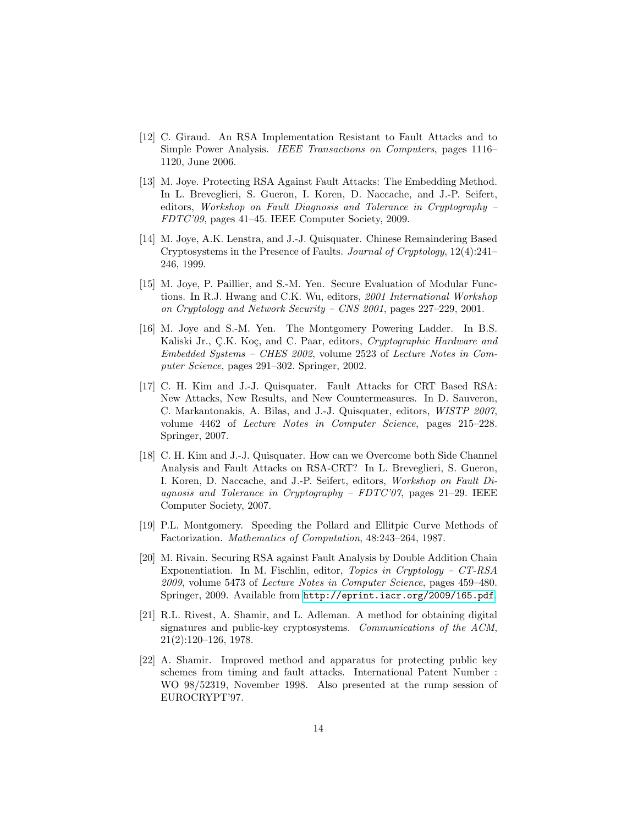- <span id="page-13-5"></span>[12] C. Giraud. An RSA Implementation Resistant to Fault Attacks and to Simple Power Analysis. IEEE Transactions on Computers, pages 1116– 1120, June 2006.
- <span id="page-13-9"></span>[13] M. Joye. Protecting RSA Against Fault Attacks: The Embedding Method. In L. Breveglieri, S. Gueron, I. Koren, D. Naccache, and J.-P. Seifert, editors, Workshop on Fault Diagnosis and Tolerance in Cryptography – FDTC'09, pages 41–45. IEEE Computer Society, 2009.
- <span id="page-13-1"></span>[14] M. Joye, A.K. Lenstra, and J.-J. Quisquater. Chinese Remaindering Based Cryptosystems in the Presence of Faults. Journal of Cryptology, 12(4):241– 246, 1999.
- <span id="page-13-3"></span>[15] M. Joye, P. Paillier, and S.-M. Yen. Secure Evaluation of Modular Functions. In R.J. Hwang and C.K. Wu, editors, 2001 International Workshop on Cryptology and Network Security – CNS 2001, pages 227–229, 2001.
- <span id="page-13-8"></span>[16] M. Joye and S.-M. Yen. The Montgomery Powering Ladder. In B.S. Kaliski Jr., Ç.K. Koç, and C. Paar, editors, Cryptographic Hardware and Embedded Systems – CHES 2002, volume 2523 of Lecture Notes in Computer Science, pages 291–302. Springer, 2002.
- <span id="page-13-10"></span>[17] C. H. Kim and J.-J. Quisquater. Fault Attacks for CRT Based RSA: New Attacks, New Results, and New Countermeasures. In D. Sauveron, C. Markantonakis, A. Bilas, and J.-J. Quisquater, editors, WISTP 2007, volume 4462 of Lecture Notes in Computer Science, pages 215–228. Springer, 2007.
- <span id="page-13-4"></span>[18] C. H. Kim and J.-J. Quisquater. How can we Overcome both Side Channel Analysis and Fault Attacks on RSA-CRT? In L. Breveglieri, S. Gueron, I. Koren, D. Naccache, and J.-P. Seifert, editors, Workshop on Fault Diagnosis and Tolerance in Cryptography – FDTC'07, pages 21–29. IEEE Computer Society, 2007.
- <span id="page-13-7"></span>[19] P.L. Montgomery. Speeding the Pollard and Ellitpic Curve Methods of Factorization. Mathematics of Computation, 48:243–264, 1987.
- <span id="page-13-6"></span>[20] M. Rivain. Securing RSA against Fault Analysis by Double Addition Chain Exponentiation. In M. Fischlin, editor, Topics in Cryptology – CT-RSA 2009, volume 5473 of Lecture Notes in Computer Science, pages 459–480. Springer, 2009. Available from <http://eprint.iacr.org/2009/165.pdf>.
- <span id="page-13-0"></span>[21] R.L. Rivest, A. Shamir, and L. Adleman. A method for obtaining digital signatures and public-key cryptosystems. Communications of the ACM, 21(2):120–126, 1978.
- <span id="page-13-2"></span>[22] A. Shamir. Improved method and apparatus for protecting public key schemes from timing and fault attacks. International Patent Number : WO 98/52319, November 1998. Also presented at the rump session of EUROCRYPT'97.